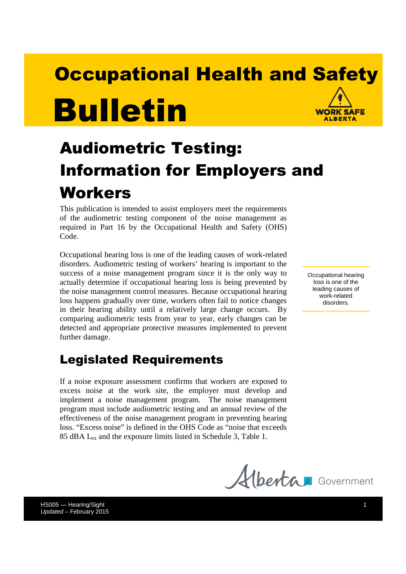# **Occupational Health and Safety** Bulletin **WORK SAFE** AIREDTA

# Audiometric Testing: Information for Employers and Workers

This publication is intended to assist employers meet the requirements of the audiometric testing component of the noise management as required in Part 16 by the Occupational Health and Safety (OHS) Code.

Occupational hearing loss is one of the leading causes of work-related disorders. Audiometric testing of workers' hearing is important to the success of a noise management program since it is the only way to actually determine if occupational hearing loss is being prevented by the noise management control measures. Because occupational hearing loss happens gradually over time, workers often fail to notice changes in their hearing ability until a relatively large change occurs. By comparing audiometric tests from year to year, early changes can be detected and appropriate protective measures implemented to prevent further damage.

## Legislated Requirements

If a noise exposure assessment confirms that workers are exposed to excess noise at the work site, the employer must develop and implement a noise management program. The noise management program must include audiometric testing and an annual review of the effectiveness of the noise management program in preventing hearing loss. "Excess noise" is defined in the OHS Code as "noise that exceeds 85 dBA Lex and the exposure limits listed in Schedule 3, Table 1.

Occupational hearing loss is one of the leading causes of work-related disorders.



HS005 — Hearing/Sight 1 Updated – February 2015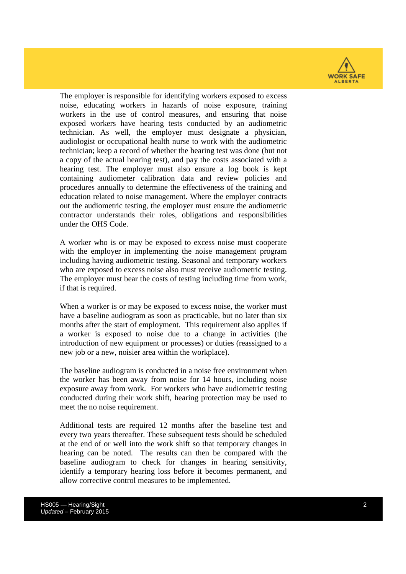

The employer is responsible for identifying workers exposed to excess noise, educating workers in hazards of noise exposure, training workers in the use of control measures, and ensuring that noise exposed workers have hearing tests conducted by an audiometric technician. As well, the employer must designate a physician, audiologist or occupational health nurse to work with the audiometric technician; keep a record of whether the hearing test was done (but not a copy of the actual hearing test), and pay the costs associated with a hearing test. The employer must also ensure a log book is kept containing audiometer calibration data and review policies and procedures annually to determine the effectiveness of the training and education related to noise management. Where the employer contracts out the audiometric testing, the employer must ensure the audiometric contractor understands their roles, obligations and responsibilities under the OHS Code.

A worker who is or may be exposed to excess noise must cooperate with the employer in implementing the noise management program including having audiometric testing. Seasonal and temporary workers who are exposed to excess noise also must receive audiometric testing. The employer must bear the costs of testing including time from work, if that is required.

When a worker is or may be exposed to excess noise, the worker must have a baseline audiogram as soon as practicable, but no later than six months after the start of employment. This requirement also applies if a worker is exposed to noise due to a change in activities (the introduction of new equipment or processes) or duties (reassigned to a new job or a new, noisier area within the workplace).

The baseline audiogram is conducted in a noise free environment when the worker has been away from noise for 14 hours, including noise exposure away from work. For workers who have audiometric testing conducted during their work shift, hearing protection may be used to meet the no noise requirement.

Additional tests are required 12 months after the baseline test and every two years thereafter. These subsequent tests should be scheduled at the end of or well into the work shift so that temporary changes in hearing can be noted. The results can then be compared with the baseline audiogram to check for changes in hearing sensitivity, identify a temporary hearing loss before it becomes permanent, and allow corrective control measures to be implemented.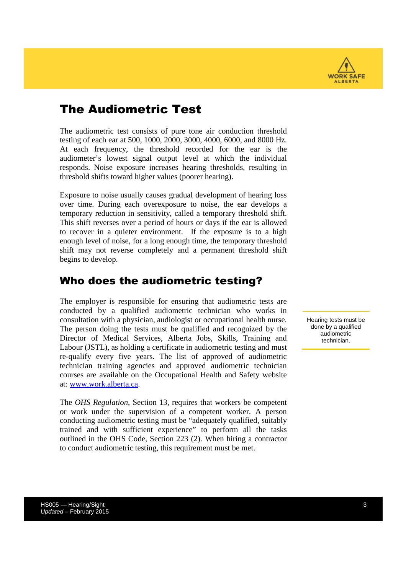

## The Audiometric Test

The audiometric test consists of pure tone air conduction threshold testing of each ear at 500, 1000, 2000, 3000, 4000, 6000, and 8000 Hz. At each frequency, the threshold recorded for the ear is the audiometer's lowest signal output level at which the individual responds. Noise exposure increases hearing thresholds, resulting in threshold shifts toward higher values (poorer hearing).

Exposure to noise usually causes gradual development of hearing loss over time. During each overexposure to noise, the ear develops a temporary reduction in sensitivity, called a temporary threshold shift. This shift reverses over a period of hours or days if the ear is allowed to recover in a quieter environment. If the exposure is to a high enough level of noise, for a long enough time, the temporary threshold shift may not reverse completely and a permanent threshold shift begins to develop.

#### Who does the audiometric testing?

The employer is responsible for ensuring that audiometric tests are conducted by a qualified audiometric technician who works in consultation with a physician, audiologist or occupational health nurse. The person doing the tests must be qualified and recognized by the Director of Medical Services, Alberta Jobs, Skills, Training and Labour (JSTL), as holding a certificate in audiometric testing and must re-qualify every five years. The list of approved of audiometric technician training agencies and approved audiometric technician courses are available on the Occupational Health and Safety website at: www.work.alberta.ca.

The *OHS Regulation*, Section 13, requires that workers be competent or work under the supervision of a competent worker. A person conducting audiometric testing must be "adequately qualified, suitably trained and with sufficient experience" to perform all the tasks outlined in the OHS Code, Section 223 (2). When hiring a contractor to conduct audiometric testing, this requirement must be met.

Hearing tests must be done by a qualified audiometric technician.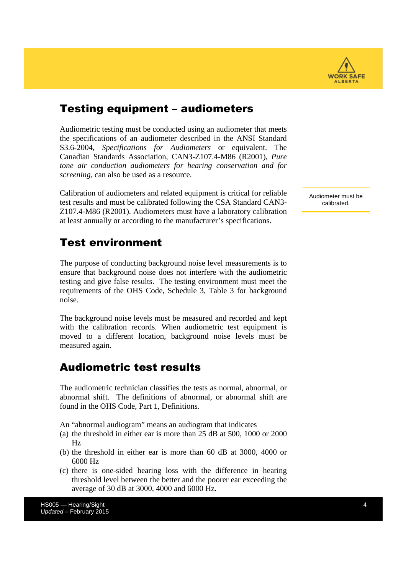

#### Testing equipment – audiometers

Audiometric testing must be conducted using an audiometer that meets the specifications of an audiometer described in the ANSI Standard S3.6-2004, *Specifications for Audiometers* or equivalent. The Canadian Standards Association, CAN3-Z107.4-M86 (R2001), *Pure tone air conduction audiometers for hearing conservation and for screening,* can also be used as a resource.

Calibration of audiometers and related equipment is critical for reliable test results and must be calibrated following the CSA Standard CAN3- Z107.4-M86 (R2001). Audiometers must have a laboratory calibration at least annually or according to the manufacturer's specifications.

#### Test environment

The purpose of conducting background noise level measurements is to ensure that background noise does not interfere with the audiometric testing and give false results. The testing environment must meet the requirements of the OHS Code, Schedule 3, Table 3 for background noise.

The background noise levels must be measured and recorded and kept with the calibration records. When audiometric test equipment is moved to a different location, background noise levels must be measured again.

#### Audiometric test results

The audiometric technician classifies the tests as normal, abnormal, or abnormal shift. The definitions of abnormal, or abnormal shift are found in the OHS Code, Part 1, Definitions.

An "abnormal audiogram" means an audiogram that indicates

- (a) the threshold in either ear is more than 25 dB at 500, 1000 or 2000 Hz
- (b) the threshold in either ear is more than 60 dB at 3000, 4000 or 6000 Hz
- (c) there is one-sided hearing loss with the difference in hearing threshold level between the better and the poorer ear exceeding the average of 30 dB at 3000, 4000 and 6000 Hz.

HS005 — Hearing/Sight 4 Updated – February 2015

Audiometer must be calibrated.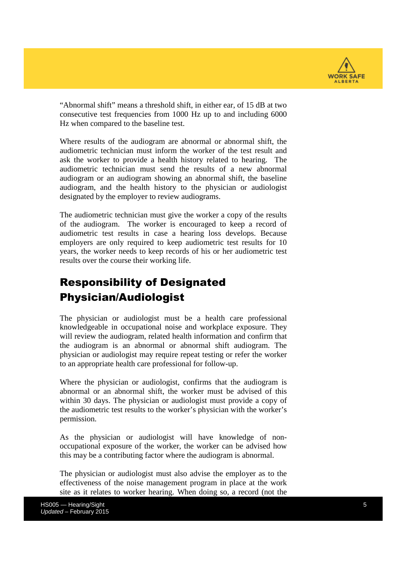

"Abnormal shift" means a threshold shift, in either ear, of 15 dB at two consecutive test frequencies from 1000 Hz up to and including 6000 Hz when compared to the baseline test.

Where results of the audiogram are abnormal or abnormal shift, the audiometric technician must inform the worker of the test result and ask the worker to provide a health history related to hearing. The audiometric technician must send the results of a new abnormal audiogram or an audiogram showing an abnormal shift, the baseline audiogram, and the health history to the physician or audiologist designated by the employer to review audiograms.

The audiometric technician must give the worker a copy of the results of the audiogram. The worker is encouraged to keep a record of audiometric test results in case a hearing loss develops. Because employers are only required to keep audiometric test results for 10 years, the worker needs to keep records of his or her audiometric test results over the course their working life.

## Responsibility of Designated Physician/Audiologist

The physician or audiologist must be a health care professional knowledgeable in occupational noise and workplace exposure. They will review the audiogram, related health information and confirm that the audiogram is an abnormal or abnormal shift audiogram. The physician or audiologist may require repeat testing or refer the worker to an appropriate health care professional for follow-up.

Where the physician or audiologist, confirms that the audiogram is abnormal or an abnormal shift, the worker must be advised of this within 30 days. The physician or audiologist must provide a copy of the audiometric test results to the worker's physician with the worker's permission.

As the physician or audiologist will have knowledge of nonoccupational exposure of the worker, the worker can be advised how this may be a contributing factor where the audiogram is abnormal.

The physician or audiologist must also advise the employer as to the effectiveness of the noise management program in place at the work site as it relates to worker hearing. When doing so, a record (not the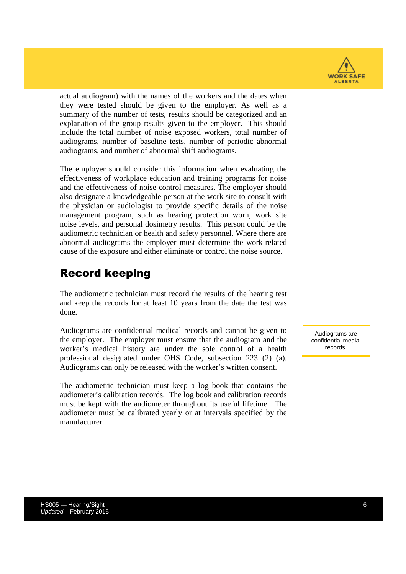

actual audiogram) with the names of the workers and the dates when they were tested should be given to the employer. As well as a summary of the number of tests, results should be categorized and an explanation of the group results given to the employer. This should include the total number of noise exposed workers, total number of audiograms, number of baseline tests, number of periodic abnormal audiograms, and number of abnormal shift audiograms.

The employer should consider this information when evaluating the effectiveness of workplace education and training programs for noise and the effectiveness of noise control measures. The employer should also designate a knowledgeable person at the work site to consult with the physician or audiologist to provide specific details of the noise management program, such as hearing protection worn, work site noise levels, and personal dosimetry results. This person could be the audiometric technician or health and safety personnel. Where there are abnormal audiograms the employer must determine the work-related cause of the exposure and either eliminate or control the noise source.

#### Record keeping

The audiometric technician must record the results of the hearing test and keep the records for at least 10 years from the date the test was done.

Audiograms are confidential medical records and cannot be given to the employer. The employer must ensure that the audiogram and the worker's medical history are under the sole control of a health professional designated under OHS Code, subsection 223 (2) (a). Audiograms can only be released with the worker's written consent.

The audiometric technician must keep a log book that contains the audiometer's calibration records. The log book and calibration records must be kept with the audiometer throughout its useful lifetime. The audiometer must be calibrated yearly or at intervals specified by the manufacturer.

Audiograms are confidential medial records.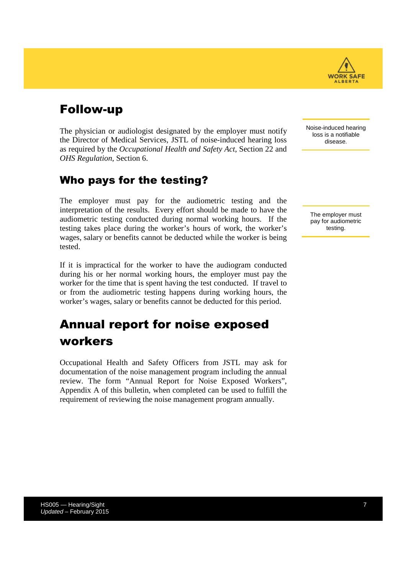# Follow-up

The physician or audiologist designated by the employer must notify the Director of Medical Services, JSTL of noise-induced hearing loss as required by the *Occupational Health and Safety Act*, Section 22 and *OHS Regulation*, Section 6.

### Who pays for the testing?

The employer must pay for the audiometric testing and the interpretation of the results. Every effort should be made to have the audiometric testing conducted during normal working hours. If the testing takes place during the worker's hours of work, the worker's wages, salary or benefits cannot be deducted while the worker is being tested.

If it is impractical for the worker to have the audiogram conducted during his or her normal working hours, the employer must pay the worker for the time that is spent having the test conducted. If travel to or from the audiometric testing happens during working hours, the worker's wages, salary or benefits cannot be deducted for this period.

# Annual report for noise exposed workers

Occupational Health and Safety Officers from JSTL may ask for documentation of the noise management program including the annual review. The form "Annual Report for Noise Exposed Workers", Appendix A of this bulletin, when completed can be used to fulfill the requirement of reviewing the noise management program annually.

Noise-induced hearing loss is a notifiable disease.

The employer must pay for audiometric testing.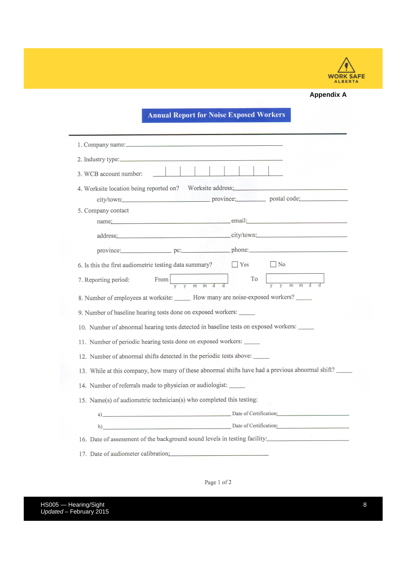

#### **Appendix A**

#### **Annual Report for Noise Exposed Workers**

| 2. Industry type:                                                                                                                                                                                                              |
|--------------------------------------------------------------------------------------------------------------------------------------------------------------------------------------------------------------------------------|
| 3. WCB account number:                                                                                                                                                                                                         |
| 4. Worksite location being reported on? Worksite address:<br>city/town: province: province: postal code:                                                                                                                       |
| 5. Company contact                                                                                                                                                                                                             |
| name: email: email:                                                                                                                                                                                                            |
| address: city/town:                                                                                                                                                                                                            |
| province: pc: pc: phone: phone: phone: phone: phone: phone: phone: phone: phone: phone: phone: phone: phone: phone: phone: phone: phone: phone: phone: phone: phone: phone: phone: phone: phone: phone: phone: phone: phone: p |
| 6. Is this the first audiometric testing data summary? $\Box$ Yes $\Box$ No                                                                                                                                                    |
| From $\frac{1}{y}$ $\frac{1}{y}$ $\frac{1}{m}$ $\frac{1}{m}$ $\frac{1}{d}$ $\frac{1}{y}$ $\frac{1}{y}$ $\frac{1}{m}$<br>7. Reporting period:                                                                                   |
| 8. Number of employees at worksite: ______ How many are noise-exposed workers? _____                                                                                                                                           |
| 9. Number of baseline hearing tests done on exposed workers:                                                                                                                                                                   |
| 10. Number of abnormal hearing tests detected in baseline tests on exposed workers:                                                                                                                                            |
| 11. Number of periodic hearing tests done on exposed workers:                                                                                                                                                                  |
| 12. Number of abnormal shifts detected in the periodic tests above:                                                                                                                                                            |
| 13. While at this company, how many of these abnormal shifts have had a previous abnormal shift?                                                                                                                               |
| 14. Number of referrals made to physician or audiologist:                                                                                                                                                                      |
| 15. Name(s) of audiometric technician(s) who completed this testing:                                                                                                                                                           |
| a) Date of Certification:                                                                                                                                                                                                      |
| b) Date of Certification:                                                                                                                                                                                                      |
| 16. Date of assessment of the background sound levels in testing facility:                                                                                                                                                     |
| 17. Date of audiometer calibration:                                                                                                                                                                                            |

Page  $1\ \mathrm{of}\ 2$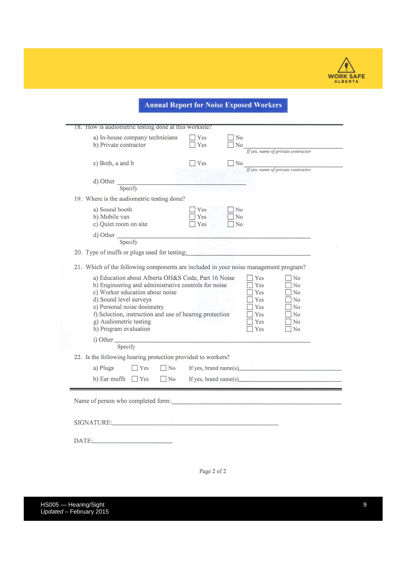

**Annual Report for Noise Exposed Workers** 

| a) In-house company technicians                                                         | Yes | No             |                                                                                                                                                                                                                                                                                                                                                                          |
|-----------------------------------------------------------------------------------------|-----|----------------|--------------------------------------------------------------------------------------------------------------------------------------------------------------------------------------------------------------------------------------------------------------------------------------------------------------------------------------------------------------------------|
| b) Private contractor                                                                   | Yes | No             |                                                                                                                                                                                                                                                                                                                                                                          |
|                                                                                         |     |                | If yes, name of private contractor                                                                                                                                                                                                                                                                                                                                       |
| c) Both, a and b                                                                        | Yes | N <sub>o</sub> |                                                                                                                                                                                                                                                                                                                                                                          |
|                                                                                         |     |                | If yes, name of private contractor                                                                                                                                                                                                                                                                                                                                       |
| d) Other                                                                                |     |                |                                                                                                                                                                                                                                                                                                                                                                          |
| Specify                                                                                 |     |                |                                                                                                                                                                                                                                                                                                                                                                          |
| 19. Where is the audiometric testing done?                                              |     |                |                                                                                                                                                                                                                                                                                                                                                                          |
| a) Sound booth                                                                          | Yes | No             |                                                                                                                                                                                                                                                                                                                                                                          |
| b) Mobile van                                                                           | Yes | N <sub>o</sub> |                                                                                                                                                                                                                                                                                                                                                                          |
| c) Quiet room on site                                                                   | Yes | N <sub>0</sub> |                                                                                                                                                                                                                                                                                                                                                                          |
| $\frac{d}{dt}$ Other $\frac{1}{\text{Specify}}$                                         |     |                |                                                                                                                                                                                                                                                                                                                                                                          |
|                                                                                         |     |                |                                                                                                                                                                                                                                                                                                                                                                          |
| 20. Type of muffs or plugs used for testing:                                            |     |                |                                                                                                                                                                                                                                                                                                                                                                          |
| 21. Which of the following components are included in your noise management program?    |     |                |                                                                                                                                                                                                                                                                                                                                                                          |
|                                                                                         |     |                |                                                                                                                                                                                                                                                                                                                                                                          |
| a) Education about Alberta OH&S Code, Part 16 Noise                                     |     |                | Yes<br>N <sub>o</sub>                                                                                                                                                                                                                                                                                                                                                    |
| b) Engineering and administrative controls for noise<br>c) Worker education about noise |     |                | Yes<br>No<br>Yes<br>No                                                                                                                                                                                                                                                                                                                                                   |
| d) Sound level surveys                                                                  |     |                | Yes<br>No                                                                                                                                                                                                                                                                                                                                                                |
|                                                                                         |     |                | Yes<br>No                                                                                                                                                                                                                                                                                                                                                                |
|                                                                                         |     |                |                                                                                                                                                                                                                                                                                                                                                                          |
| e) Personal noise dosimetry                                                             |     |                |                                                                                                                                                                                                                                                                                                                                                                          |
| f) Selection, instruction and use of hearing protection                                 |     |                | Yes<br>N <sub>o</sub>                                                                                                                                                                                                                                                                                                                                                    |
| g) Audiometric testing                                                                  |     |                | Yes<br>No<br>Yes<br>No                                                                                                                                                                                                                                                                                                                                                   |
| h) Program evaluation                                                                   |     |                |                                                                                                                                                                                                                                                                                                                                                                          |
| i) Other                                                                                |     |                |                                                                                                                                                                                                                                                                                                                                                                          |
| Specify<br>22. Is the following hearing protection provided to workers?                 |     |                |                                                                                                                                                                                                                                                                                                                                                                          |
| a) Plugs<br>$\Box$ No<br>Yes                                                            |     |                | If yes, brand name(s) $\qquad \qquad$ $\qquad \qquad$ $\qquad \qquad$ $\qquad \qquad$ $\qquad \qquad$ $\qquad \qquad$ $\qquad \qquad$ $\qquad \qquad$ $\qquad \qquad$ $\qquad \qquad$ $\qquad \qquad$ $\qquad \qquad$ $\qquad \qquad$ $\qquad$ $\qquad \qquad$ $\qquad$ $\qquad \qquad$ $\qquad$ $\qquad$ $\qquad$ $\qquad$ $\qquad$ $\qquad$ $\qquad$ $\qquad$ $\qquad$ |
|                                                                                         |     |                |                                                                                                                                                                                                                                                                                                                                                                          |
| b) Ear muffs $\Box$ Yes<br>$\Box$ No                                                    |     |                |                                                                                                                                                                                                                                                                                                                                                                          |
|                                                                                         |     |                |                                                                                                                                                                                                                                                                                                                                                                          |
| Name of person who completed form:                                                      |     |                | If yes, brand name(s) $\qquad \qquad$ $\qquad \qquad$ $\qquad \qquad$ $\qquad \qquad$ $\qquad \qquad$ $\qquad \qquad$ $\qquad \qquad$ $\qquad \qquad$ $\qquad \qquad$ $\qquad \qquad$ $\qquad \qquad$ $\qquad \qquad$ $\qquad$ $\qquad \qquad$ $\qquad$ $\qquad \qquad$ $\qquad$ $\qquad$ $\qquad$ $\qquad$ $\qquad$ $\qquad$ $\qquad$ $\qquad$ $\qquad$ $\qquad$        |
|                                                                                         |     |                |                                                                                                                                                                                                                                                                                                                                                                          |
| SIGNATURE: NATURE                                                                       |     |                |                                                                                                                                                                                                                                                                                                                                                                          |
|                                                                                         |     |                |                                                                                                                                                                                                                                                                                                                                                                          |

Page 2 of 2